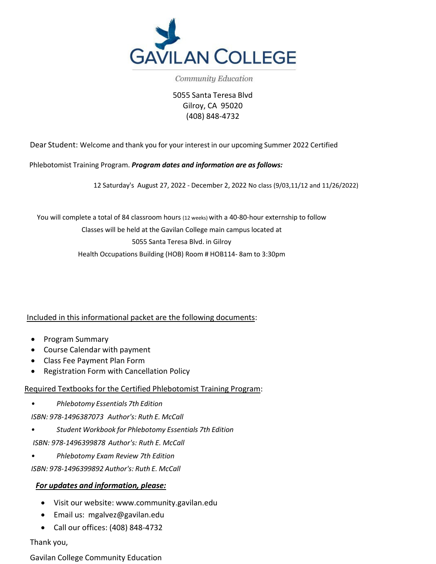

Community Education

5055 Santa Teresa Blvd Gilroy, CA 95020 (408) 848-4732

Dear Student: Welcome and thank you for your interest in our upcoming Summer 2022 Certified

Phlebotomist Training Program. *Program dates and information are as follows:* 

12 Saturday's August 27, 2022 - December 2, 2022 No class (9/03,11/12 and 11/26/2022)

You will complete a total of 84 classroom hours (12 weeks) with a 40-80-hour externship to follow Classes will be held at the Gavilan College main campus located at 5055 Santa Teresa Blvd. in Gilroy Health Occupations Building (HOB) Room # HOB114- 8am to 3:30pm

Included in this informational packet are the following documents:

- Program Summary
- Course Calendar with payment
- Class Fee Payment Plan Form
- Registration Form with Cancellation Policy

Required Textbooks for the Certified Phlebotomist Training Program:

*• Phlebotomy Essentials 7th Edition*

*ISBN: 978-1496387073 Author's: Ruth E. McCall*

- *• Student Workbook for Phlebotomy Essentials 7th Edition*
- *ISBN: 978-1496399878 Author's: Ruth E. McCall*
- *• Phlebotomy Exam Review 7th Edition*

*ISBN: 978-1496399892 Author's: Ruth E. McCall*

## *For updates and information, [please:](http://www.community.gavilanc.edu/)*

- Visit our website: [www.communit](mailto:mgalvez@gavilan.edu)y.gavilan.edu
- Email us: [mgalvez@gavilan.edu](mailto:mgalvez@gavilan.edu)
- Call our offices: (408) 848-4732

Thank you,

Gavilan College Community Education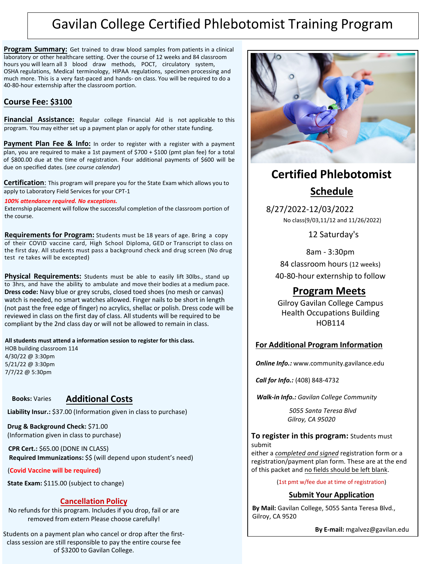# Gavilan College Certified Phlebotomist Training Program

**Program Summary:** Get trained to draw blood samples from patients in a clinical laboratory or other healthcare setting. Over the course of 12 weeks and 84 classroom hours you will learn all 3 blood draw methods, POCT, circulatory system, OSHA regulations, Medical terminology, HIPAA regulations, specimen processing and much more. This is a very fast-paced and hands- on class. You will be required to do a 40-80-hour externship after the classroom portion.

## **Course Fee: \$3100**

**Financial Assistance:** Regular college Financial Aid is not applicable to this program. You may either set up a payment plan or apply for other state funding.

**Payment Plan Fee & Info:** In order to register with a register with a payment plan, you are required to make a 1st payment of  $$700 + $100$  (pmt plan fee) for a total of \$800.00 due at the time of registration. Four additional payments of \$600 will be due on specified dates. (*see course calendar*)

**Certification**: This program will prepare you for the State Exam which allows you to apply to Laboratory Field Services for your CPT-1

*100% attendance required. No exceptions.*

Externship placement will follow the successful completion of the classroom portion of the course.

**Requirements for Program:** Students must be 18 years of age. Bring a copy of their COVID vaccine card, High School Diploma, GED or Transcript to class on the first day. All students must pass a background check and drug screen (No drug test re takes will be excepted)

**Physical Requirements:** Students must be able to easily lift 30lbs., stand up to 3hrs, and have the ability to ambulate and move their bodies at a medium pace. **Dress code:** Navy blue or grey scrubs, closed toed shoes (no mesh or canvas) watch is needed, no smart watches allowed. Finger nails to be short in length (not past the free edge of finger) no acrylics, shellac or polish. Dress code will be reviewed in class on the first day of class. All students will be required to be compliant by the 2nd class day or will not be allowed to remain in class.

**All students must attend a information session to register for this class.**

HOB building classroom 114 4/30/22 @ 3:30pm 5/21/22 @ 3:30pm 7/7/22 @ 5:30pm

# **Books:** Varies **Additional Costs**

**Liability Insur.:** \$37.00 (Information given in class to purchase)

**Drug & Background Check:** \$71.00 (Information given in class to purchase)

**CPR Cert.:** \$65.00 (DONE IN CLASS) **Required Immunizations:** \$\$ (will depend upon student's need)

(**Covid Vaccine will be required**)

**State Exam:** \$115.00 (subject to change)

# **Cancellation Policy**

No refunds for this program. Includes if you drop, fail or are removed from extern Please choose carefully!

Students on a payment plan who cancel or drop after the firstclass session are still responsible to pay the entire course fee of \$3200 to Gavilan College.



# **Certified Phlebotomist Schedule**

8/27/2022-12/03/2022 No class(9/03,11/12 and 11/26/2022)

12 Saturday's

8am - 3:30pm 84 classroom hours (12 weeks) 40-80-hour externship to follow

# **Program Meets**

Gilroy Gavilan College Campus Health Occupations Building HOB114

# **For Additional Program Information**

*Online Info.:* www.community.gavilance.edu

*Call for Info.:* (408) [848-4732](http://www.community.gavilance.edu/)

*Walk-in Info.: Gavilan College Community* 

*5055 Santa Teresa Blvd Gilroy, CA 95020*

### **To register in this program:** Students must submit

either a *completed and signed* registration form or a registration/payment plan form. These are at the end of this packet and no fields should be left blank.

(1st pmt w/fee due at time of registration)

## **Submit Your Application**

**By Mail:** Gavilan College, 5055 Santa Teresa Blvd., Gilroy, CA 9520

**By E-mail:** mgalvez@gavilan.edu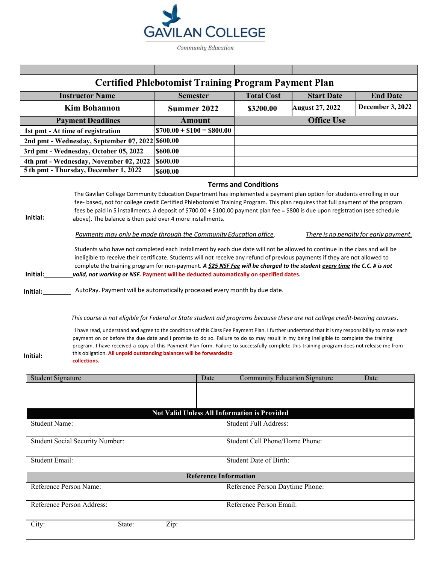

| <b>Certified Phlebotomist Training Program Payment Plan</b>                                                                      |                            |                   |                        |                         |  |  |
|----------------------------------------------------------------------------------------------------------------------------------|----------------------------|-------------------|------------------------|-------------------------|--|--|
| <b>Instructor Name</b>                                                                                                           | <b>Semester</b>            | <b>Total Cost</b> | <b>Start Date</b>      | <b>End Date</b>         |  |  |
| <b>Kim Bohannon</b>                                                                                                              | Summer 2022                | \$3200.00         | <b>August 27, 2022</b> | <b>December 3, 2022</b> |  |  |
| <b>Payment Deadlines</b>                                                                                                         | Amount                     |                   | <b>Office Use</b>      |                         |  |  |
| 1st pmt - At time of registration                                                                                                | $$700.00 + $100 = $800.00$ |                   |                        |                         |  |  |
| 2nd pmt - Wednesday, September 07, 2022                                                                                          | \$600.00                   |                   |                        |                         |  |  |
| 3rd pmt - Wednesday, October 05, 2022                                                                                            | \$600.00                   |                   |                        |                         |  |  |
| 4th pmt - Wednesday, November 02, 2022                                                                                           | \$600.00                   |                   |                        |                         |  |  |
| 5 th pmt - Thursday, December 1, 2022                                                                                            | \$600.00                   |                   |                        |                         |  |  |
| <b>Terms and Conditions</b>                                                                                                      |                            |                   |                        |                         |  |  |
| The Gavilan College Community Education Department has implemented a payment plan option for students enrolling in our           |                            |                   |                        |                         |  |  |
| fee-based, not for college credit Certified Phlebotomist Training Program. This plan requires that full payment of the program   |                            |                   |                        |                         |  |  |
| fees be paid in 5 installments. A deposit of \$700.00 + \$100.00 payment plan fee = \$800 is due upon registration (see schedule |                            |                   |                        |                         |  |  |

**Initial:** \_\_\_\_\_\_\_\_\_\_\_above). The balance is then paid over 4 more installments.

*Payments may only be made through the Community Education office*. *There is no penalty for early payment.*

Students who have not completed each installment by each due date will not be allowed to continue in the class and will be ineligible to receive their certificate. Students will not receive any refund of previous payments if they are not allowed to complete the training program for non-payment. *A \$25 NSF Fee will be charged to the student every time the C.C. # is not* **Initial:** *valid, not working or NSF.* **Payment will be deducted automatically on specified dates.**

**Initial:** AutoPay. Payment will be automatically processed every month by due date.

#### This course is not eligible for Federal or State student aid programs because these are not college credit-bearing courses.

I have read, understand and agree to the conditions of this Class Fee Payment Plan. I further understand that it is my responsibility to make each payment on or before the due date and I promise to do so. Failure to do so may result in my being ineligible to complete the training program. I have received a copy of this Payment Plan form. Failure to successfully complete this training program does not release me from this obligation. **All unpaid outstanding balances will be forwardedto collections.**

| Initial: |  |
|----------|--|
|          |  |

| <b>Student Signature</b>                            | Date | <b>Community Education Signature</b> | Date |  |  |  |  |
|-----------------------------------------------------|------|--------------------------------------|------|--|--|--|--|
|                                                     |      |                                      |      |  |  |  |  |
|                                                     |      |                                      |      |  |  |  |  |
|                                                     |      |                                      |      |  |  |  |  |
| <b>Not Valid Unless All Information is Provided</b> |      |                                      |      |  |  |  |  |
| <b>Student Name:</b>                                |      | <b>Student Full Address:</b>         |      |  |  |  |  |
|                                                     |      |                                      |      |  |  |  |  |
| <b>Student Social Security Number:</b>              |      | Student Cell Phone/Home Phone:       |      |  |  |  |  |
|                                                     |      |                                      |      |  |  |  |  |
| <b>Student Email:</b>                               |      | Student Date of Birth:               |      |  |  |  |  |
|                                                     |      |                                      |      |  |  |  |  |
|                                                     |      | <b>Reference Information</b>         |      |  |  |  |  |
| Reference Person Name:                              |      | Reference Person Daytime Phone:      |      |  |  |  |  |
|                                                     |      |                                      |      |  |  |  |  |
| Reference Person Address:                           |      | Reference Person Email:              |      |  |  |  |  |
|                                                     |      |                                      |      |  |  |  |  |
| City:<br>Zip:<br>State:                             |      |                                      |      |  |  |  |  |
|                                                     |      |                                      |      |  |  |  |  |